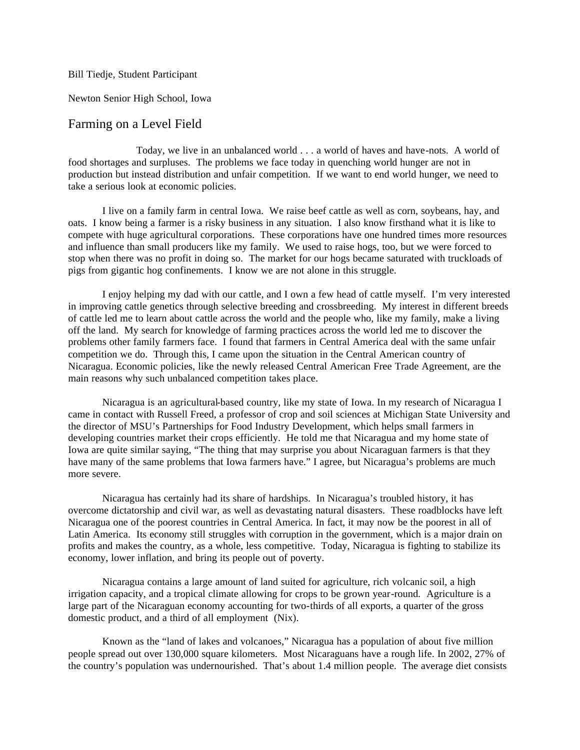Bill Tiedje, Student Participant

Newton Senior High School, Iowa

## Farming on a Level Field

Today, we live in an unbalanced world . . . a world of haves and have-nots. A world of food shortages and surpluses. The problems we face today in quenching world hunger are not in production but instead distribution and unfair competition. If we want to end world hunger, we need to take a serious look at economic policies.

I live on a family farm in central Iowa. We raise beef cattle as well as corn, soybeans, hay, and oats. I know being a farmer is a risky business in any situation. I also know firsthand what it is like to compete with huge agricultural corporations. These corporations have one hundred times more resources and influence than small producers like my family. We used to raise hogs, too, but we were forced to stop when there was no profit in doing so. The market for our hogs became saturated with truckloads of pigs from gigantic hog confinements. I know we are not alone in this struggle.

I enjoy helping my dad with our cattle, and I own a few head of cattle myself. I'm very interested in improving cattle genetics through selective breeding and crossbreeding. My interest in different breeds of cattle led me to learn about cattle across the world and the people who, like my family, make a living off the land. My search for knowledge of farming practices across the world led me to discover the problems other family farmers face. I found that farmers in Central America deal with the same unfair competition we do. Through this, I came upon the situation in the Central American country of Nicaragua. Economic policies, like the newly released Central American Free Trade Agreement, are the main reasons why such unbalanced competition takes place.

Nicaragua is an agricultural-based country, like my state of Iowa. In my research of Nicaragua I came in contact with Russell Freed, a professor of crop and soil sciences at Michigan State University and the director of MSU's Partnerships for Food Industry Development, which helps small farmers in developing countries market their crops efficiently. He told me that Nicaragua and my home state of Iowa are quite similar saying, "The thing that may surprise you about Nicaraguan farmers is that they have many of the same problems that Iowa farmers have." I agree, but Nicaragua's problems are much more severe.

Nicaragua has certainly had its share of hardships. In Nicaragua's troubled history, it has overcome dictatorship and civil war, as well as devastating natural disasters. These roadblocks have left Nicaragua one of the poorest countries in Central America. In fact, it may now be the poorest in all of Latin America. Its economy still struggles with corruption in the government, which is a major drain on profits and makes the country, as a whole, less competitive. Today, Nicaragua is fighting to stabilize its economy, lower inflation, and bring its people out of poverty.

Nicaragua contains a large amount of land suited for agriculture, rich volcanic soil, a high irrigation capacity, and a tropical climate allowing for crops to be grown year-round. Agriculture is a large part of the Nicaraguan economy accounting for two-thirds of all exports, a quarter of the gross domestic product, and a third of all employment (Nix).

Known as the "land of lakes and volcanoes," Nicaragua has a population of about five million people spread out over 130,000 square kilometers. Most Nicaraguans have a rough life. In 2002, 27% of the country's population was undernourished. That's about 1.4 million people. The average diet consists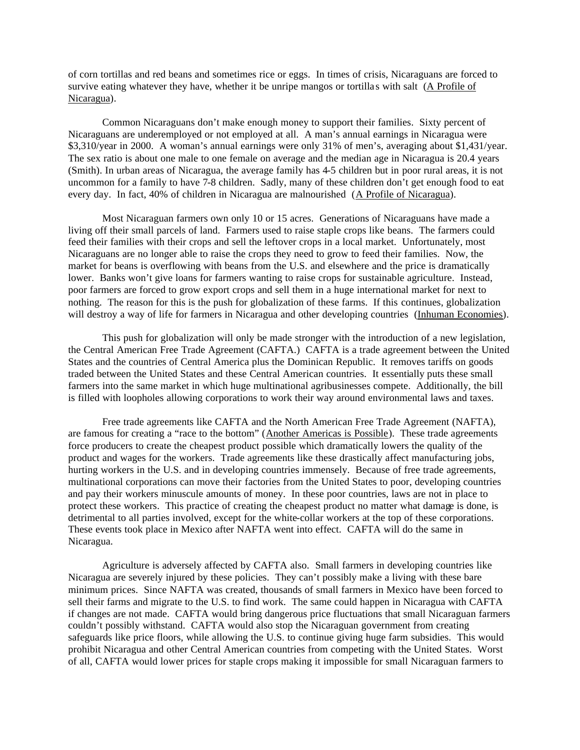of corn tortillas and red beans and sometimes rice or eggs. In times of crisis, Nicaraguans are forced to survive eating whatever they have, whether it be unripe mangos or tortillas with salt (A Profile of Nicaragua).

Common Nicaraguans don't make enough money to support their families. Sixty percent of Nicaraguans are underemployed or not employed at all. A man's annual earnings in Nicaragua were \$3,310/year in 2000. A woman's annual earnings were only 31% of men's, averaging about \$1,431/year. The sex ratio is about one male to one female on average and the median age in Nicaragua is 20.4 years (Smith). In urban areas of Nicaragua, the average family has 4-5 children but in poor rural areas, it is not uncommon for a family to have 7-8 children. Sadly, many of these children don't get enough food to eat every day. In fact, 40% of children in Nicaragua are malnourished (A Profile of Nicaragua).

Most Nicaraguan farmers own only 10 or 15 acres. Generations of Nicaraguans have made a living off their small parcels of land. Farmers used to raise staple crops like beans. The farmers could feed their families with their crops and sell the leftover crops in a local market. Unfortunately, most Nicaraguans are no longer able to raise the crops they need to grow to feed their families. Now, the market for beans is overflowing with beans from the U.S. and elsewhere and the price is dramatically lower. Banks won't give loans for farmers wanting to raise crops for sustainable agriculture. Instead, poor farmers are forced to grow export crops and sell them in a huge international market for next to nothing. The reason for this is the push for globalization of these farms. If this continues, globalization will destroy a way of life for farmers in Nicaragua and other developing countries (Inhuman Economies).

This push for globalization will only be made stronger with the introduction of a new legislation, the Central American Free Trade Agreement (CAFTA.) CAFTA is a trade agreement between the United States and the countries of Central America plus the Dominican Republic. It removes tariffs on goods traded between the United States and these Central American countries. It essentially puts these small farmers into the same market in which huge multinational agribusinesses compete. Additionally, the bill is filled with loopholes allowing corporations to work their way around environmental laws and taxes.

Free trade agreements like CAFTA and the North American Free Trade Agreement (NAFTA), are famous for creating a "race to the bottom" (Another Americas is Possible). These trade agreements force producers to create the cheapest product possible which dramatically lowers the quality of the product and wages for the workers. Trade agreements like these drastically affect manufacturing jobs, hurting workers in the U.S. and in developing countries immensely. Because of free trade agreements, multinational corporations can move their factories from the United States to poor, developing countries and pay their workers minuscule amounts of money. In these poor countries, laws are not in place to protect these workers. This practice of creating the cheapest product no matter what damage is done, is detrimental to all parties involved, except for the white-collar workers at the top of these corporations. These events took place in Mexico after NAFTA went into effect. CAFTA will do the same in Nicaragua.

Agriculture is adversely affected by CAFTA also. Small farmers in developing countries like Nicaragua are severely injured by these policies. They can't possibly make a living with these bare minimum prices. Since NAFTA was created, thousands of small farmers in Mexico have been forced to sell their farms and migrate to the U.S. to find work. The same could happen in Nicaragua with CAFTA if changes are not made. CAFTA would bring dangerous price fluctuations that small Nicaraguan farmers couldn't possibly withstand. CAFTA would also stop the Nicaraguan government from creating safeguards like price floors, while allowing the U.S. to continue giving huge farm subsidies. This would prohibit Nicaragua and other Central American countries from competing with the United States. Worst of all, CAFTA would lower prices for staple crops making it impossible for small Nicaraguan farmers to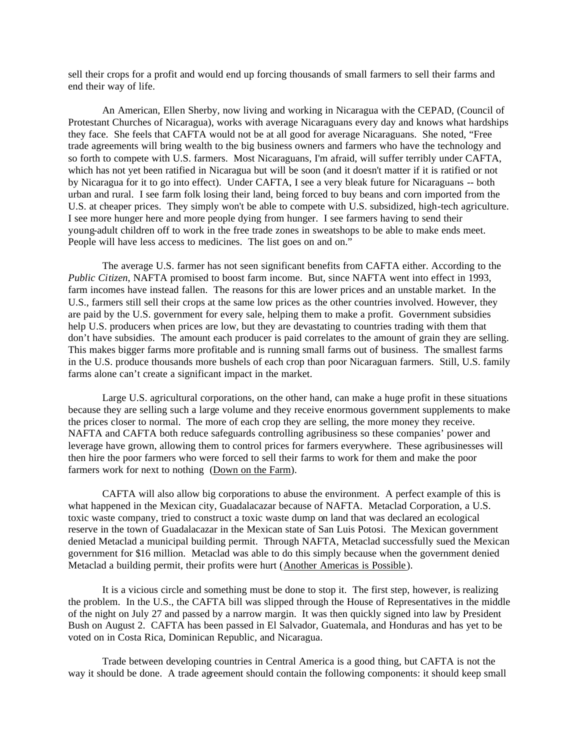sell their crops for a profit and would end up forcing thousands of small farmers to sell their farms and end their way of life.

An American, Ellen Sherby, now living and working in Nicaragua with the CEPAD, (Council of Protestant Churches of Nicaragua), works with average Nicaraguans every day and knows what hardships they face. She feels that CAFTA would not be at all good for average Nicaraguans. She noted, "Free trade agreements will bring wealth to the big business owners and farmers who have the technology and so forth to compete with U.S. farmers. Most Nicaraguans, I'm afraid, will suffer terribly under CAFTA, which has not yet been ratified in Nicaragua but will be soon (and it doesn't matter if it is ratified or not by Nicaragua for it to go into effect). Under CAFTA, I see a very bleak future for Nicaraguans -- both urban and rural. I see farm folk losing their land, being forced to buy beans and corn imported from the U.S. at cheaper prices. They simply won't be able to compete with U.S. subsidized, high-tech agriculture. I see more hunger here and more people dying from hunger. I see farmers having to send their young-adult children off to work in the free trade zones in sweatshops to be able to make ends meet. People will have less access to medicines. The list goes on and on."

The average U.S. farmer has not seen significant benefits from CAFTA either. According to the *Public Citizen*, NAFTA promised to boost farm income. But, since NAFTA went into effect in 1993, farm incomes have instead fallen. The reasons for this are lower prices and an unstable market. In the U.S., farmers still sell their crops at the same low prices as the other countries involved. However, they are paid by the U.S. government for every sale, helping them to make a profit. Government subsidies help U.S. producers when prices are low, but they are devastating to countries trading with them that don't have subsidies. The amount each producer is paid correlates to the amount of grain they are selling. This makes bigger farms more profitable and is running small farms out of business. The smallest farms in the U.S. produce thousands more bushels of each crop than poor Nicaraguan farmers. Still, U.S. family farms alone can't create a significant impact in the market.

Large U.S. agricultural corporations, on the other hand, can make a huge profit in these situations because they are selling such a large volume and they receive enormous government supplements to make the prices closer to normal. The more of each crop they are selling, the more money they receive. NAFTA and CAFTA both reduce safeguards controlling agribusiness so these companies' power and leverage have grown, allowing them to control prices for farmers everywhere. These agribusinesses will then hire the poor farmers who were forced to sell their farms to work for them and make the poor farmers work for next to nothing (Down on the Farm).

CAFTA will also allow big corporations to abuse the environment. A perfect example of this is what happened in the Mexican city, Guadalacazar because of NAFTA. Metaclad Corporation, a U.S. toxic waste company, tried to construct a toxic waste dump on land that was declared an ecological reserve in the town of Guadalacazar in the Mexican state of San Luis Potosi. The Mexican government denied Metaclad a municipal building permit. Through NAFTA, Metaclad successfully sued the Mexican government for \$16 million. Metaclad was able to do this simply because when the government denied Metaclad a building permit, their profits were hurt (Another Americas is Possible).

It is a vicious circle and something must be done to stop it. The first step, however, is realizing the problem. In the U.S., the CAFTA bill was slipped through the House of Representatives in the middle of the night on July 27 and passed by a narrow margin. It was then quickly signed into law by President Bush on August 2. CAFTA has been passed in El Salvador, Guatemala, and Honduras and has yet to be voted on in Costa Rica, Dominican Republic, and Nicaragua.

Trade between developing countries in Central America is a good thing, but CAFTA is not the way it should be done. A trade agreement should contain the following components: it should keep small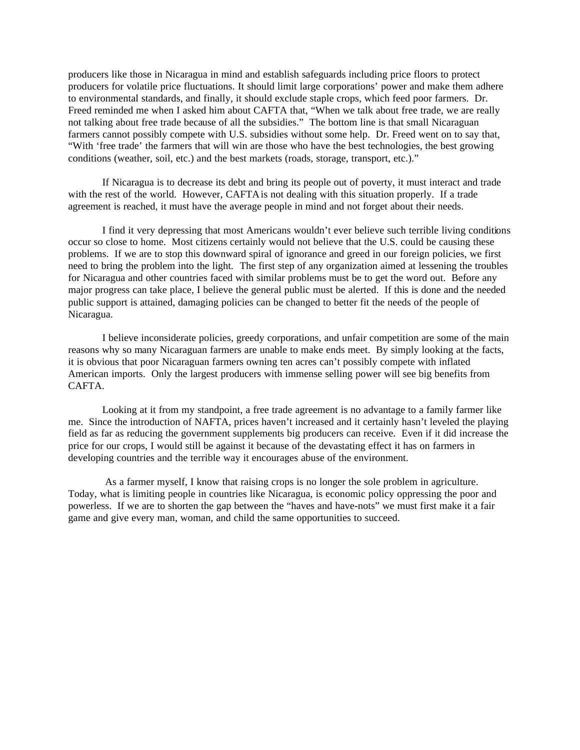producers like those in Nicaragua in mind and establish safeguards including price floors to protect producers for volatile price fluctuations. It should limit large corporations' power and make them adhere to environmental standards, and finally, it should exclude staple crops, which feed poor farmers. Dr. Freed reminded me when I asked him about CAFTA that, "When we talk about free trade, we are really not talking about free trade because of all the subsidies." The bottom line is that small Nicaraguan farmers cannot possibly compete with U.S. subsidies without some help. Dr. Freed went on to say that, "With 'free trade' the farmers that will win are those who have the best technologies, the best growing conditions (weather, soil, etc.) and the best markets (roads, storage, transport, etc.)."

If Nicaragua is to decrease its debt and bring its people out of poverty, it must interact and trade with the rest of the world. However, CAFTA is not dealing with this situation properly. If a trade agreement is reached, it must have the average people in mind and not forget about their needs.

I find it very depressing that most Americans wouldn't ever believe such terrible living conditions occur so close to home. Most citizens certainly would not believe that the U.S. could be causing these problems. If we are to stop this downward spiral of ignorance and greed in our foreign policies, we first need to bring the problem into the light. The first step of any organization aimed at lessening the troubles for Nicaragua and other countries faced with similar problems must be to get the word out. Before any major progress can take place, I believe the general public must be alerted. If this is done and the needed public support is attained, damaging policies can be changed to better fit the needs of the people of Nicaragua.

I believe inconsiderate policies, greedy corporations, and unfair competition are some of the main reasons why so many Nicaraguan farmers are unable to make ends meet. By simply looking at the facts, it is obvious that poor Nicaraguan farmers owning ten acres can't possibly compete with inflated American imports. Only the largest producers with immense selling power will see big benefits from CAFTA.

Looking at it from my standpoint, a free trade agreement is no advantage to a family farmer like me. Since the introduction of NAFTA, prices haven't increased and it certainly hasn't leveled the playing field as far as reducing the government supplements big producers can receive. Even if it did increase the price for our crops, I would still be against it because of the devastating effect it has on farmers in developing countries and the terrible way it encourages abuse of the environment.

 As a farmer myself, I know that raising crops is no longer the sole problem in agriculture. Today, what is limiting people in countries like Nicaragua, is economic policy oppressing the poor and powerless. If we are to shorten the gap between the "haves and have-nots" we must first make it a fair game and give every man, woman, and child the same opportunities to succeed.